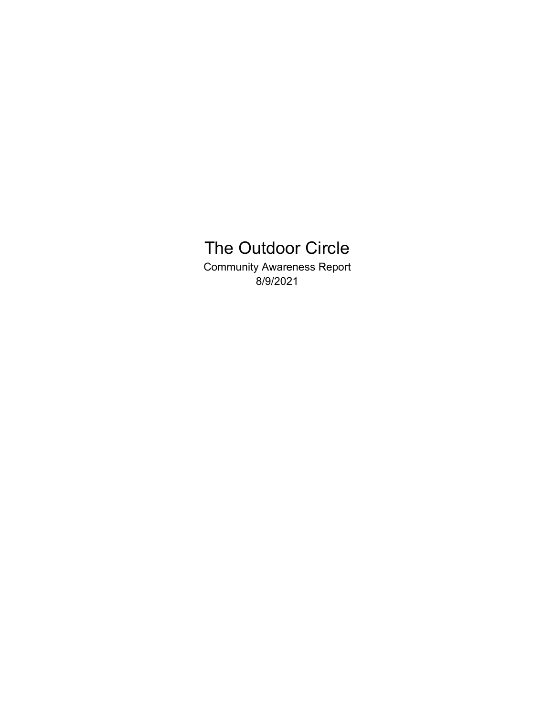# The Outdoor Circle

Community Awareness Report 8/9/2021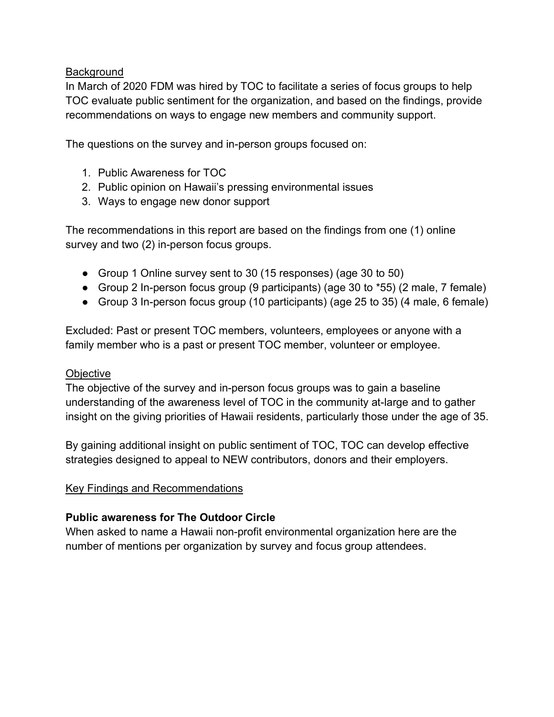## **Background**

In March of 2020 FDM was hired by TOC to facilitate a series of focus groups to help TOC evaluate public sentiment for the organization, and based on the findings, provide recommendations on ways to engage new members and community support.

The questions on the survey and in-person groups focused on:

- 1. Public Awareness for TOC
- 2. Public opinion on Hawaii's pressing environmental issues
- 3. Ways to engage new donor support

The recommendations in this report are based on the findings from one (1) online survey and two (2) in-person focus groups.

- Group 1 Online survey sent to 30 (15 responses) (age 30 to 50)
- Group 2 In-person focus group (9 participants) (age 30 to \*55) (2 male, 7 female)
- Group 3 In-person focus group (10 participants) (age 25 to 35) (4 male, 6 female)

Excluded: Past or present TOC members, volunteers, employees or anyone with a family member who is a past or present TOC member, volunteer or employee.

### **Objective**

The objective of the survey and in-person focus groups was to gain a baseline understanding of the awareness level of TOC in the community at-large and to gather insight on the giving priorities of Hawaii residents, particularly those under the age of 35.

By gaining additional insight on public sentiment of TOC, TOC can develop effective strategies designed to appeal to NEW contributors, donors and their employers.

### Key Findings and Recommendations

### **Public awareness for The Outdoor Circle**

When asked to name a Hawaii non-profit environmental organization here are the number of mentions per organization by survey and focus group attendees.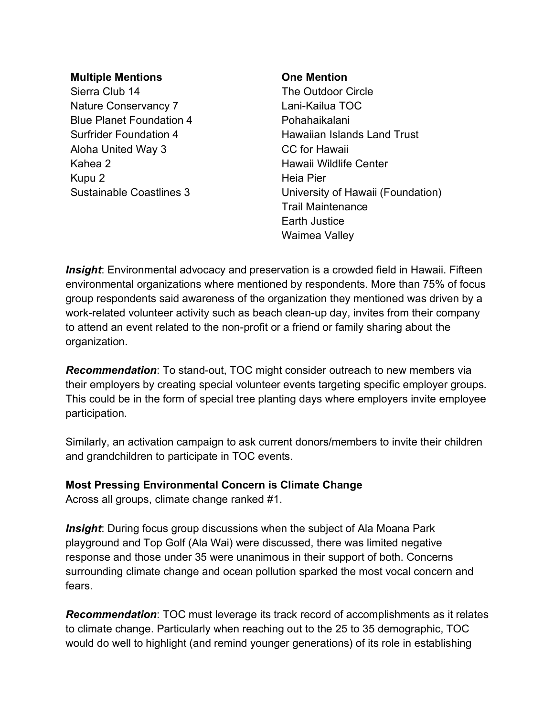#### **Multiple Mentions**

Sierra Club 14 Nature Conservancy 7 Blue Planet Foundation 4 Surfrider Foundation 4 Aloha United Way 3 Kahea 2 Kupu 2 Sustainable Coastlines 3

#### **One Mention**

The Outdoor Circle Lani-Kailua TOC Pohahaikalani Hawaiian Islands Land Trust CC for Hawaii Hawaii Wildlife Center Heia Pier University of Hawaii (Foundation) Trail Maintenance Earth Justice Waimea Valley

*Insight*: Environmental advocacy and preservation is a crowded field in Hawaii. Fifteen environmental organizations where mentioned by respondents. More than 75% of focus group respondents said awareness of the organization they mentioned was driven by a work-related volunteer activity such as beach clean-up day, invites from their company to attend an event related to the non-profit or a friend or family sharing about the organization.

*Recommendation*: To stand-out, TOC might consider outreach to new members via their employers by creating special volunteer events targeting specific employer groups. This could be in the form of special tree planting days where employers invite employee participation.

Similarly, an activation campaign to ask current donors/members to invite their children and grandchildren to participate in TOC events.

## **Most Pressing Environmental Concern is Climate Change**

Across all groups, climate change ranked #1.

*Insight*: During focus group discussions when the subject of Ala Moana Park playground and Top Golf (Ala Wai) were discussed, there was limited negative response and those under 35 were unanimous in their support of both. Concerns surrounding climate change and ocean pollution sparked the most vocal concern and fears.

*Recommendation*: TOC must leverage its track record of accomplishments as it relates to climate change. Particularly when reaching out to the 25 to 35 demographic, TOC would do well to highlight (and remind younger generations) of its role in establishing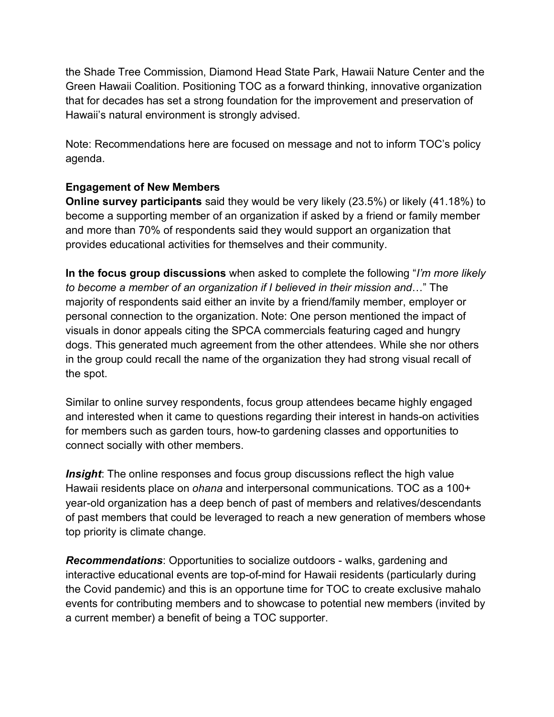the Shade Tree Commission, Diamond Head State Park, Hawaii Nature Center and the Green Hawaii Coalition. Positioning TOC as a forward thinking, innovative organization that for decades has set a strong foundation for the improvement and preservation of Hawaii's natural environment is strongly advised.

Note: Recommendations here are focused on message and not to inform TOC's policy agenda.

## **Engagement of New Members**

**Online survey participants** said they would be very likely (23.5%) or likely (41.18%) to become a supporting member of an organization if asked by a friend or family member and more than 70% of respondents said they would support an organization that provides educational activities for themselves and their community.

**In the focus group discussions** when asked to complete the following "*I'm more likely to become a member of an organization if I believed in their mission and*…" The majority of respondents said either an invite by a friend/family member, employer or personal connection to the organization. Note: One person mentioned the impact of visuals in donor appeals citing the SPCA commercials featuring caged and hungry dogs. This generated much agreement from the other attendees. While she nor others in the group could recall the name of the organization they had strong visual recall of the spot.

Similar to online survey respondents, focus group attendees became highly engaged and interested when it came to questions regarding their interest in hands-on activities for members such as garden tours, how-to gardening classes and opportunities to connect socially with other members.

**Insight**: The online responses and focus group discussions reflect the high value Hawaii residents place on *ohana* and interpersonal communications. TOC as a 100+ year-old organization has a deep bench of past of members and relatives/descendants of past members that could be leveraged to reach a new generation of members whose top priority is climate change.

*Recommendations*: Opportunities to socialize outdoors - walks, gardening and interactive educational events are top-of-mind for Hawaii residents (particularly during the Covid pandemic) and this is an opportune time for TOC to create exclusive mahalo events for contributing members and to showcase to potential new members (invited by a current member) a benefit of being a TOC supporter.